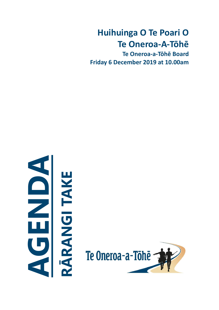# **Huihuinga O Te Poari O Te Oneroa-A-Tōhē**

**Te Oneroa-a-Tōhē Board Friday 6 December 2019 at 10.00am**



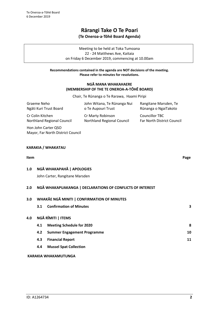# **Rārangi Take O Te Poari (Te Oneroa-a-Tōhē Board Agenda)**

Meeting to be held at Toka Tumoana 22 - 24 Matthews Ave, Kaitaia on Friday 6 December 2019, commencing at 10.00am

### **Recommendations contained in the agenda are NOT decisions of the meeting. Please refer to minutes for resolutions.**

### **NGĀ MANA WHAKAHAERE (MEMBERSHIP OF THE TE ONEROA-A-TŌHĒ BOARD)**

Chair, Te Rūnanga o Te Rarawa, Haami Piripi

| Graeme Neho                                              | John Witana, Te Rūnanga Nui                            | Rangitane Marsden, Te                               |
|----------------------------------------------------------|--------------------------------------------------------|-----------------------------------------------------|
| Ngāti Kuri Trust Board                                   | o Te Aupouri Trust                                     | Rūnanga o NgaiTakoto                                |
| Cr Colin Kitchen<br>Northland Regional Council           | Cr Marty Robinson<br><b>Northland Regional Council</b> | <b>Councillor TBC</b><br>Far North District Council |
| Hon John Carter QSO<br>Mayor, Far North District Council |                                                        |                                                     |

### **KARAKIA / WHAKATAU**

### **Item Page**

### **1.0 NGĀ WHAKAPAHĀ | APOLOGIES**

John Carter, Rangitane Marsden

### **2.0 NGĀ WHAKAPUAKANGA | DECLARATIONS OF CONFLICTS OF INTEREST**

| 3.0 | WHAKĀE NGĀ MINITI   CONFIRMATION OF MINUTES |                                    |    |
|-----|---------------------------------------------|------------------------------------|----|
|     | 3.1                                         | <b>Confirmation of Minutes</b>     | 3  |
| 4.0 |                                             | NGĀ RĪMITI   ITEMS                 |    |
|     | 4.1                                         | <b>Meeting Schedule for 2020</b>   | 8  |
|     | 4.2                                         | <b>Summer Engagement Programme</b> | 10 |
|     | 4.3                                         | <b>Financial Report</b>            | 11 |
|     | 4.4                                         | <b>Mussel Spat Collection</b>      |    |
|     |                                             |                                    |    |

### **KARAKIA WHAKAMUTUNGA**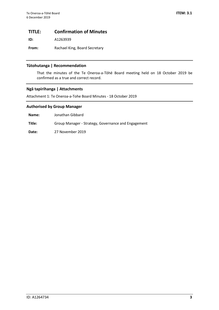### <span id="page-2-0"></span>**TITLE: Confirmation of Minutes**

**ID:** A1263939

From: Rachael King, Board Secretary

### **Tūtohutanga | Recommendation**

That the minutes of the Te Oneroa-a-Tōhē Board meeting held on 18 October 2019 be confirmed as a true and correct record.

### **Ngā tapirihanga | Attachments**

Attachment 1: Te Oneroa-a-Tohe Board Minutes - 18 October 2019

### **Authorised by Group Manager**

**Name:** Jonathan Gibbard

**Title:** Group Manager - Strategy, Governance and Engagement

**Date:** 27 November 2019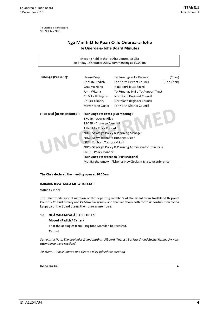Te Oneroa-a-Tōhē Board S18 October 2019

### Ngā Miniti O Te Poari O Te Oneroa-a-Tōhē Te Oneroa-a-Tōhē Board Minutes

| Meeting held in the Te Ahu Centre, Kaitāia<br>on Friday 18 October 2019, commencing at 10.00am |                                                                                                                                                                        |                                   |             |  |  |
|------------------------------------------------------------------------------------------------|------------------------------------------------------------------------------------------------------------------------------------------------------------------------|-----------------------------------|-------------|--|--|
|                                                                                                |                                                                                                                                                                        |                                   |             |  |  |
| Tuhinga (Present):                                                                             | Haami Piripi                                                                                                                                                           | Te Rūnanga o Te Rarawa            | (Chair)     |  |  |
|                                                                                                | Cr Mate Radich                                                                                                                                                         | <b>Far North District Council</b> | (Dep Chair) |  |  |
|                                                                                                | Graeme Neho                                                                                                                                                            | Ngāti Kuri Trust Board            |             |  |  |
|                                                                                                | John Witana                                                                                                                                                            | Te Rünanga Nui o Te Aupouri Trust |             |  |  |
|                                                                                                | Cr Mike Finlayson                                                                                                                                                      | <b>Northland Regional Council</b> |             |  |  |
|                                                                                                | Cr Paul Dimery                                                                                                                                                         | Northland Regional Council        |             |  |  |
|                                                                                                | Mayor John Carter                                                                                                                                                      | <b>Far North District Council</b> |             |  |  |
| I Tae Mai (In Attendance):                                                                     | Huihuinga i te katoa (Full Meeting)<br>TROTR - George Riley<br>TROTR - Bronwyn Bauer-Hunt<br><b>TRNOTA - Rosie Conrad</b><br>NRC - Strategy, Policy & Planning Manager |                                   |             |  |  |
|                                                                                                | NRC - Kaiwhakahaere Hononga Māori<br>NRC - Kaiārahi Tikanga Māori<br>NRC - Strategy, Policy & Planning Administrator (minutes)                                         |                                   |             |  |  |
|                                                                                                |                                                                                                                                                                        |                                   |             |  |  |
|                                                                                                | <b>FNDC - Policy Planner</b>                                                                                                                                           |                                   |             |  |  |
|                                                                                                | Huihuinga i te wahanga (Part Meeting)                                                                                                                                  |                                   |             |  |  |
|                                                                                                | Mat Bartholomew - Fisheries New Zealand (via teleconference)                                                                                                           |                                   |             |  |  |

#### The Chair declared the meeting open at 10.05am

#### KARAKIA TIMATANGA ME WHAKATAU

Witana / Piripi

The Chair made special mention of the departing members of the Board from Northland Regional Council - Cr Paul Dimery and Cr Mike Finlayson - and thanked them both for their contribution to the kaupapa of the Board during their time as members.

#### $1.0$ NGĀ WHAKAPAHĀ | APOLOGIES

### Moved (Radich / Carter)

That the apologies from Rangitane Marsden be received.

Carried

Secretarial Note: The apologies from Jonathan Gibbard, Theresa Burkhardt and Rachel Ropiha for nonattendance were received.

10.10am - Rosie Conrad and George Riley joined the meeting

ID: A1256157

 $\mathbf 1$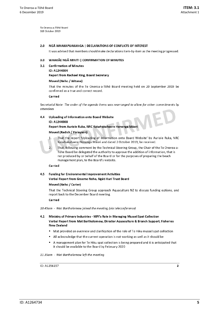Te Oneroa-a-Töhe Board S18 October 2019

#### 2.0 NGĀ WHAKAPUAKANGA | DECLARATIONS OF CONFLICTS OF INTEREST

It was advised that members should make declarations item-by-item as the meeting progressed.

#### 3.0 WHAKAE NGA MINITI I CONFIRMATION OF MINUTES

- 3.1 Confirmation of Minutes
	- ID: A1244904

#### **Report from Rachael King, Board Secretary**

#### Moved (Neho / Witana)

That the minutes of the Te Oneroa-a-Tōhē Board meeting held on 20 September 2019 be confirmed as a true and correct record.

#### Carried

Secretarial Note: The order of the agenda items was rearranged to allow for other commitments by attendees

44 Uploading of Information onto Board Website ID: A1244908

Report from Auriole Ruka, NRC Kaiwhakahaere Hononga Māori

#### Moved (Radich / Finlayson)

That the report 'Uploading of Information onto Board Website' by Auriole Ruka, NRC  $\mathbf{1}$ Kaiwhakahaere Hononga Māori and dated 2 October 2019, be received.

That, following comment by the Technical Steering Group, the Chair of the Te Oneroa-a-Tōhe Board be delegated the authority to approve the addition of information, that is not produced by or behalf of the Board or for the purposes of preparing the beach management plan, to the Board's website.

#### Carried

 $\overline{2}$ .

### 4.5 Funding for Environmental Improvement Activities Verbal Report from Graeme Neho, Ngati Kuri Trust Board

#### Moved (Neho / Carter)

That the Technical Steering Group approach Aquaculture NZ to discuss funding options, and report back to the December Board meeting.

#### Carried

10.45am - Mat Bartholomew joined the meeting (via teleconference)

- 4.1 Ministry of Primary Industries MPI's Role in Managing Mussel Spat Collection Verbal Report from Mat Bartholomew, Director Aquaculture & Branch Support, Fisheries **New Zealand** 
	- Mat provided an overview and clarification of the role of Te Hiku mussel spat collection
	- All acknowledge that the current operation is not working as well as it should be
	- A management plan for Te Hiku spat collection is being prepared and it is anticipated that it should be available to the Board by February 2020

11.35am - Mat Bartholomew left the meeting

ID: A1256157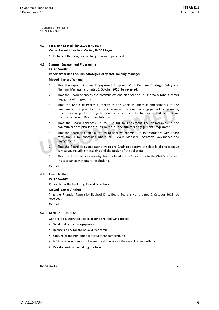Te Oneroa-a-Tōhē Board S18 October 2019

# 4.2 Far North Spatial Plan 2100 (FN2100)

- Verbal Report from John Carter, FNDC Mayor
- Details of the new, overarching plan were provided

#### $4.3$ **Summer Engagement Programme**

#### ID: A1244902

#### Report from Ben Lee, NRC Strategic Policy and Planning Manager

#### Moved (Carter / Witana)

- That the report 'Summer Engagement Programme' by Ben Lee, Strategic Policy and  $\mathbf{1}$ . Planning Manager and dated 2 October 2019, be received.
- $2.$ That the Board approves the communications plan for the Te Oneroa-a-Tōhē summer engagement programme.
- $\overline{3}$ . That the Board delegates authority to the Chair to approve amendments to the communications plan for the Te Oneroa-a-Tōhē summer engagement programme, except for changes to the objectives, and any increase in the funds allocated by the Board in accordance with Board resolution 4.
- 4. That the Board approves up to \$17,500 to implement the deliverables in the communications plan for the Te Oneroa-a-Tōhē summer engagement programme.
- That the Board delegates authority to approve expenditure, in accordance with Board 5. resolution 4, to Jonathan Gibbard, NRC Group Manager - Strategy, Governance and Engagement.
- 6. That the Board delegates authority to the Chair to approve the details of the creative campaign, including messaging and the design of the collateral.
- 7. That the draft creative campaign be circulated to the Board prior to the Chair's approval, in accordance with Board resolution 6.

#### Carried

4.6 **Financial Report** 

### ID: A1244907

**Report from Rachael King, Board Secretary** 

#### Moved (Carter / Neho)

That the Financial Report by Rachael King, Board Secretary and dated 2 October 2019, be received.

#### Carried

#### 5.0 GENERAL BUSINESS

General discussion took place around the following topics:

- Sand build-up at Waipapakauri
- Responsibility for the Kākā Street ramp
- Closure of the non-compliant Hukatere campground
- . NZ Police ceremony with kaumatua at the site of the recent large meth haul
- Private land owners along the beach

### ID: A1256157

3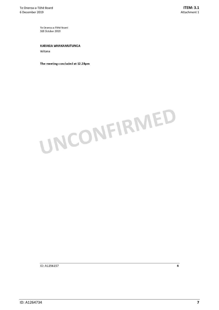Te Oneroa-a-Tōhē Board S18 October 2019

#### **KARAKIA WHAKAMUTUNGA**

Witana

The meeting concluded at 12.28pm



ID: A1256157

 $\overline{\mathbf{4}}$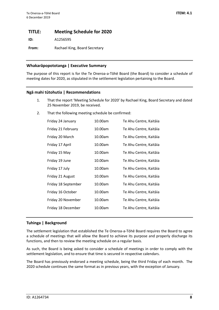### <span id="page-7-0"></span>**TITLE: Meeting Schedule for 2020**

**ID:** A1256595

**From:** Rachael King, Board Secretary

### **Whakarāpopototanga | Executive Summary**

The purpose of this report is for the Te Oneroa-a-Tōhē Board (the Board) to consider a schedule of meeting dates for 2020, as stipulated in the settlement legislation pertaining to the Board.

### **Ngā mahi tūtohutia | Recommendations**

- 1. That the report 'Meeting Schedule for 2020' by Rachael King, Board Secretary and dated 25 November 2019, be received.
- 2. That the following meeting schedule be confirmed:

| Friday 24 January   | 10.00am | Te Ahu Centre, Kaitāia |
|---------------------|---------|------------------------|
| Friday 21 February  | 10.00am | Te Ahu Centre, Kaitāia |
| Friday 20 March     | 10.00am | Te Ahu Centre, Kaitāia |
| Friday 17 April     | 10.00am | Te Ahu Centre, Kaitāia |
| Friday 15 May       | 10.00am | Te Ahu Centre, Kaitāia |
| Friday 19 June      | 10.00am | Te Ahu Centre, Kaitāia |
| Friday 17 July      | 10.00am | Te Ahu Centre, Kaitāia |
| Friday 21 August    | 10.00am | Te Ahu Centre, Kaitāia |
| Friday 18 September | 10.00am | Te Ahu Centre, Kaitāia |
| Friday 16 October   | 10.00am | Te Ahu Centre, Kaitāia |
| Friday 20 November  | 10.00am | Te Ahu Centre, Kaitāia |
| Friday 18 December  | 10.00am | Te Ahu Centre, Kaitāia |

### **Tuhinga | Background**

The settlement legislation that established the Te Oneroa-a-Tōhē Board requires the Board to agree a schedule of meetings that will allow the Board to achieve its purpose and properly discharge its functions, and then to review the meeting schedule on a regular basis.

As such, the Board is being asked to consider a schedule of meetings in order to comply with the settlement legislation, and to ensure that time is secured in respective calendars.

The Board has previously endorsed a meeting schedule, being the third Friday of each month. The 2020 schedule continues the same format as in previous years, with the exception of January.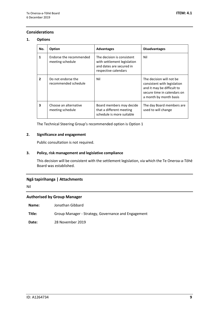### **Considerations**

### **1. Options**

| No. | Option                                      | <b>Advantages</b>                                                                                             | <b>Disadvantages</b>                                                                                                                           |
|-----|---------------------------------------------|---------------------------------------------------------------------------------------------------------------|------------------------------------------------------------------------------------------------------------------------------------------------|
| 1   | Endorse the recommended<br>meeting schedule | The decision is consistent<br>with settlement legislation<br>and dates are secured in<br>respective calendars | Nil                                                                                                                                            |
| 2   | Do not endorse the<br>recommended schedule  | Nil                                                                                                           | The decision will not be<br>consistent with legislation<br>and it may be difficult to<br>secure time in calendars on<br>a month by month basis |
| 3   | Choose an alternative<br>meeting schedule   | Board members may decide<br>that a different meeting<br>schedule is more suitable                             | The day Board members are<br>used to will change                                                                                               |

The Technical Steering Group's recommended option is Option 1

### **2. Significance and engagement**

Public consultation is not required.

### **3. Policy, risk management and legislative compliance**

This decision will be consistent with the settlement legislation, via which the Te Oneroa-a-Tōhē Board was established.

### **Ngā tapirihanga | Attachments**

Nil

### **Authorised by Group Manager**

**Name:** Jonathan Gibbard

**Title:** Group Manager - Strategy, Governance and Engagement

**Date:** 28 November 2019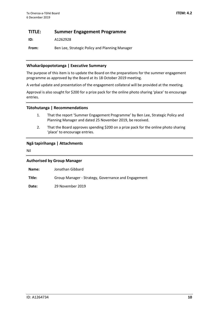## <span id="page-9-0"></span>**TITLE: Summer Engagement Programme**

**ID:** A1262928

**From:** Ben Lee, Strategic Policy and Planning Manager

### **Whakarāpopototanga | Executive Summary**

The purpose of this item is to update the Board on the preparations for the summer engagement programme as approved by the Board at its 18 October 2019 meeting.

A verbal update and presentation of the engagement collateral will be provided at the meeting.

Approval is also sought for \$200 for a prize pack for the online photo sharing 'place' to encourage entries.

### **Tūtohutanga | Recommendations**

- 1. That the report 'Summer Engagement Programme' by Ben Lee, Strategic Policy and Planning Manager and dated 25 November 2019, be received.
- 2. That the Board approves spending \$200 on a prize pack for the online photo sharing 'place' to encourage entries.

### **Ngā tapirihanga | Attachments**

Nil

### **Authorised by Group Manager**

| Name: | Jonathan Gibbard |
|-------|------------------|
|-------|------------------|

**Title:** Group Manager - Strategy, Governance and Engagement

**Date:** 29 November 2019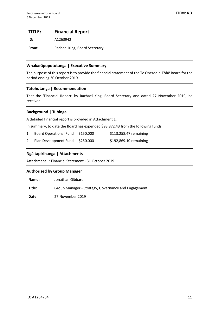### <span id="page-10-0"></span>**TITLE: Financial Report**

**ID:** A1263942

From: Rachael King, Board Secretary

### **Whakarāpopototanga | Executive Summary**

The purpose of this report is to provide the financial statement of the Te Oneroa-a-Tōhē Board for the period ending 30 October 2019.

### **Tūtohutanga | Recommendation**

That the 'Financial Report' by Rachael King, Board Secretary and dated 27 November 2019, be received.

### **Background | Tuhinga**

A detailed financial report is provided in Attachment 1.

In summary, to date the Board has expended \$93,872.43 from the following funds:

- 1. Board Operational Fund \$150,000 \$113,258.47 remaining
- 2. Plan Development Fund \$250,000 \$192,869.10 remaining

### **Ngā tapirihanga | Attachments**

Attachment 1: Financial Statement - 31 October 2019

### **Authorised by Group Manager**

**Name:** Jonathan Gibbard

**Title:** Group Manager - Strategy, Governance and Engagement

**Date:** 27 November 2019